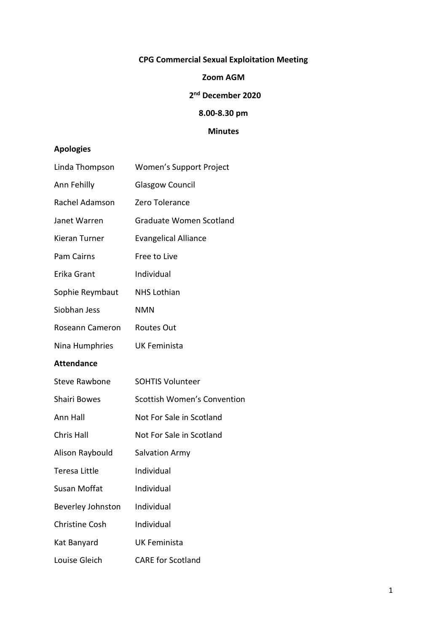# **CPG Commercial Sexual Exploitation Meeting**

### **Zoom AGM**

#### **2 nd December 2020**

# **8.00-8.30 pm**

# **Minutes**

# **Apologies**

| Linda Thompson        | Women's Support Project            |
|-----------------------|------------------------------------|
| Ann Fehilly           | <b>Glasgow Council</b>             |
| Rachel Adamson        | Zero Tolerance                     |
| Janet Warren          | Graduate Women Scotland            |
| Kieran Turner         | <b>Evangelical Alliance</b>        |
| <b>Pam Cairns</b>     | Free to Live                       |
| Erika Grant           | Individual                         |
| Sophie Reymbaut       | <b>NHS Lothian</b>                 |
| Siobhan Jess          | <b>NMN</b>                         |
| Roseann Cameron       | <b>Routes Out</b>                  |
| Nina Humphries        | <b>UK Feminista</b>                |
| <b>Attendance</b>     |                                    |
| <b>Steve Rawbone</b>  | <b>SOHTIS Volunteer</b>            |
| Shairi Bowes          | <b>Scottish Women's Convention</b> |
| Ann Hall              | Not For Sale in Scotland           |
| Chris Hall            | Not For Sale in Scotland           |
| Alison Raybould       | <b>Salvation Army</b>              |
| Teresa Little         | Individual                         |
| Susan Moffat          | Individual                         |
| Beverley Johnston     | Individual                         |
| <b>Christine Cosh</b> | Individual                         |
| Kat Banyard           | <b>UK Feminista</b>                |
| Louise Gleich         | <b>CARE for Scotland</b>           |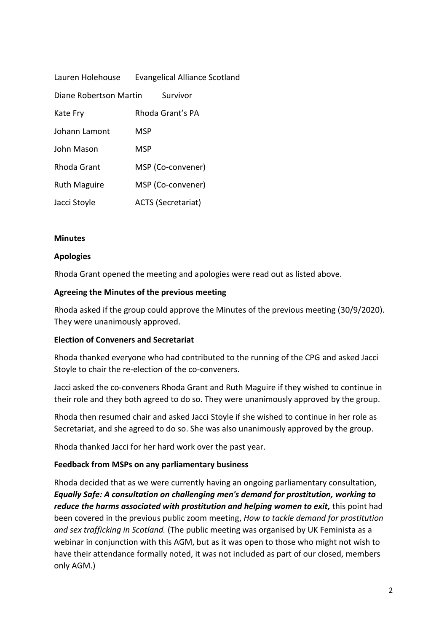| Lauren Holehouse       | <b>Evangelical Alliance Scotland</b> |
|------------------------|--------------------------------------|
| Diane Robertson Martin | Survivor                             |
| Kate Fry               | Rhoda Grant's PA                     |
| Johann Lamont          | <b>MSP</b>                           |
| John Mason             | MSP                                  |
| <b>Rhoda Grant</b>     | MSP (Co-convener)                    |
| <b>Ruth Maguire</b>    | MSP (Co-convener)                    |
| Jacci Stoyle           | <b>ACTS (Secretariat)</b>            |

#### **Minutes**

### **Apologies**

Rhoda Grant opened the meeting and apologies were read out as listed above.

### **Agreeing the Minutes of the previous meeting**

Rhoda asked if the group could approve the Minutes of the previous meeting (30/9/2020). They were unanimously approved.

#### **Election of Conveners and Secretariat**

Rhoda thanked everyone who had contributed to the running of the CPG and asked Jacci Stoyle to chair the re-election of the co-conveners.

Jacci asked the co-conveners Rhoda Grant and Ruth Maguire if they wished to continue in their role and they both agreed to do so. They were unanimously approved by the group.

Rhoda then resumed chair and asked Jacci Stoyle if she wished to continue in her role as Secretariat, and she agreed to do so. She was also unanimously approved by the group.

Rhoda thanked Jacci for her hard work over the past year.

#### **Feedback from MSPs on any parliamentary business**

Rhoda decided that as we were currently having an ongoing parliamentary consultation, *Equally Safe: A consultation on challenging men's demand for prostitution, working to reduce the harms associated with prostitution and helping women to exit,* this point had been covered in the previous public zoom meeting, *How to tackle demand for prostitution and sex trafficking in Scotland.* (The public meeting was organised by UK Feminista as a webinar in conjunction with this AGM, but as it was open to those who might not wish to have their attendance formally noted, it was not included as part of our closed, members only AGM.)